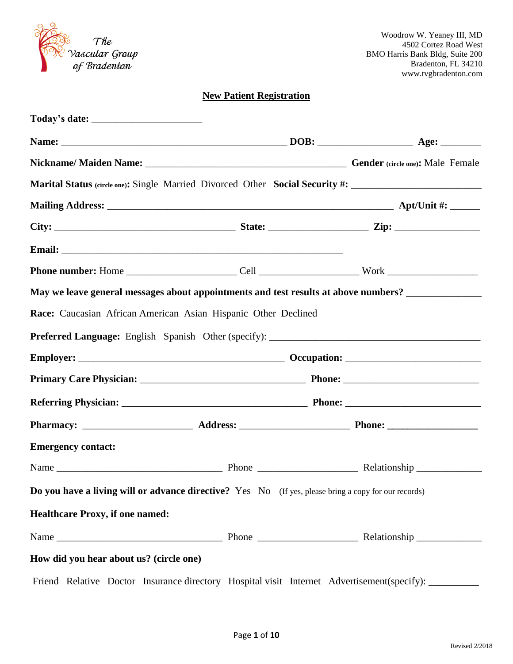| The<br>Vascular Group |
|-----------------------|
| of Bradenton          |

# **New Patient Registration**

|                                         |                                                                                                      | Marital Status (circle one): Single Married Divorced Other Social Security #: ______________________ |
|-----------------------------------------|------------------------------------------------------------------------------------------------------|------------------------------------------------------------------------------------------------------|
|                                         |                                                                                                      |                                                                                                      |
|                                         |                                                                                                      |                                                                                                      |
|                                         |                                                                                                      |                                                                                                      |
|                                         |                                                                                                      |                                                                                                      |
|                                         |                                                                                                      | May we leave general messages about appointments and test results at above numbers? _______________  |
|                                         | Race: Caucasian African American Asian Hispanic Other Declined                                       |                                                                                                      |
|                                         |                                                                                                      |                                                                                                      |
|                                         |                                                                                                      |                                                                                                      |
|                                         |                                                                                                      |                                                                                                      |
|                                         |                                                                                                      |                                                                                                      |
|                                         |                                                                                                      |                                                                                                      |
| <b>Emergency contact:</b>               |                                                                                                      |                                                                                                      |
|                                         |                                                                                                      |                                                                                                      |
|                                         | Do you have a living will or advance directive? Yes No (If yes, please bring a copy for our records) |                                                                                                      |
| <b>Healthcare Proxy, if one named:</b>  |                                                                                                      |                                                                                                      |
|                                         |                                                                                                      |                                                                                                      |
| How did you hear about us? (circle one) |                                                                                                      |                                                                                                      |
|                                         |                                                                                                      | Friend Relative Doctor Insurance directory Hospital visit Internet Advertisement(specify): ________  |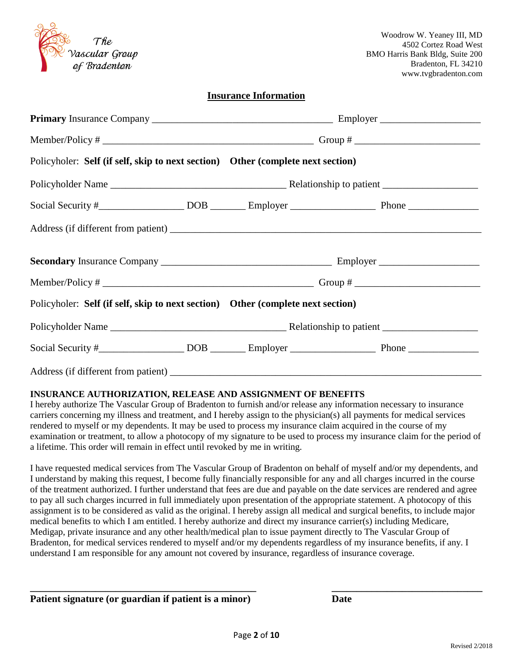| The            |
|----------------|
| Vascular Group |
| of Bradenton   |

### **Insurance Information**

| Policyholer: Self (if self, skip to next section) Other (complete next section) |  |  |  |  |
|---------------------------------------------------------------------------------|--|--|--|--|
|                                                                                 |  |  |  |  |
|                                                                                 |  |  |  |  |
|                                                                                 |  |  |  |  |
|                                                                                 |  |  |  |  |
|                                                                                 |  |  |  |  |
| Policyholer: Self (if self, skip to next section) Other (complete next section) |  |  |  |  |
|                                                                                 |  |  |  |  |
|                                                                                 |  |  |  |  |
|                                                                                 |  |  |  |  |

#### **INSURANCE AUTHORIZATION, RELEASE AND ASSIGNMENT OF BENEFITS**

I hereby authorize The Vascular Group of Bradenton to furnish and/or release any information necessary to insurance carriers concerning my illness and treatment, and I hereby assign to the physician(s) all payments for medical services rendered to myself or my dependents. It may be used to process my insurance claim acquired in the course of my examination or treatment, to allow a photocopy of my signature to be used to process my insurance claim for the period of a lifetime. This order will remain in effect until revoked by me in writing.

I have requested medical services from The Vascular Group of Bradenton on behalf of myself and/or my dependents, and I understand by making this request, I become fully financially responsible for any and all charges incurred in the course of the treatment authorized. I further understand that fees are due and payable on the date services are rendered and agree to pay all such charges incurred in full immediately upon presentation of the appropriate statement. A photocopy of this assignment is to be considered as valid as the original. I hereby assign all medical and surgical benefits, to include major medical benefits to which I am entitled. I hereby authorize and direct my insurance carrier(s) including Medicare, Medigap, private insurance and any other health/medical plan to issue payment directly to The Vascular Group of Bradenton, for medical services rendered to myself and/or my dependents regardless of my insurance benefits, if any. I understand I am responsible for any amount not covered by insurance, regardless of insurance coverage.

### **Patient signature (or guardian if patient is a minor) Date**

**\_\_\_\_\_\_\_\_\_\_\_\_\_\_\_\_\_\_\_\_\_\_\_\_\_\_\_\_\_\_\_\_\_\_\_\_\_\_\_\_\_\_\_\_\_ \_\_\_\_\_\_\_\_\_\_\_\_\_\_\_\_\_\_\_\_\_\_\_\_\_\_\_\_\_\_**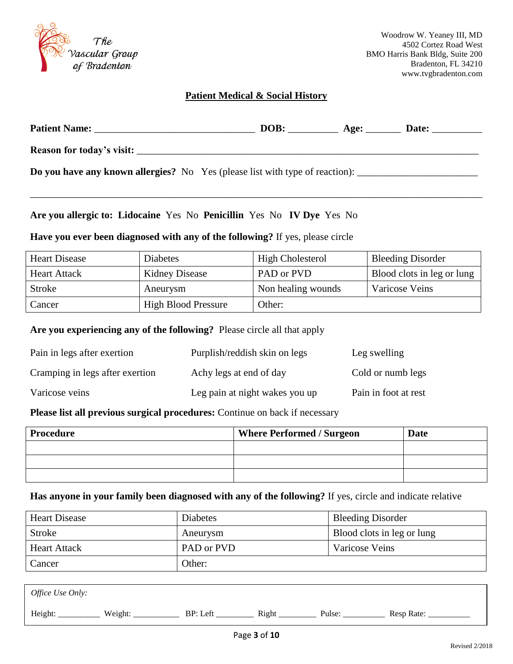

### **Patient Medical & Social History**

| <b>Patient Name:</b>                                                         | DOB: | Age: | <b>Date:</b> |
|------------------------------------------------------------------------------|------|------|--------------|
| Reason for today's visit:                                                    |      |      |              |
| Do you have any known allergies? No Yes (please list with type of reaction): |      |      |              |

\_\_\_\_\_\_\_\_\_\_\_\_\_\_\_\_\_\_\_\_\_\_\_\_\_\_\_\_\_\_\_\_\_\_\_\_\_\_\_\_\_\_\_\_\_\_\_\_\_\_\_\_\_\_\_\_\_\_\_\_\_\_\_\_\_\_\_\_\_\_\_\_\_\_\_\_\_\_\_\_\_\_\_\_\_\_\_\_\_\_

**Are you allergic to: Lidocaine** Yes No **Penicillin** Yes No **IV Dye** Yes No

**Have you ever been diagnosed with any of the following?** If yes, please circle

| <b>Heart Disease</b> | <b>Diabetes</b>            | <b>High Cholesterol</b> | <b>Bleeding Disorder</b>   |
|----------------------|----------------------------|-------------------------|----------------------------|
| <b>Heart Attack</b>  | Kidney Disease             | PAD or PVD              | Blood clots in leg or lung |
| <b>Stroke</b>        | Aneurysm                   | Non healing wounds      | Varicose Veins             |
| Cancer               | <b>High Blood Pressure</b> | Other:                  |                            |

**Are you experiencing any of the following?** Please circle all that apply

| Pain in legs after exertion     | Purplish/reddish skin on legs  | Leg swelling         |
|---------------------------------|--------------------------------|----------------------|
| Cramping in legs after exertion | Achy legs at end of day        | Cold or numb legs    |
| Varicose veins                  | Leg pain at night wakes you up | Pain in foot at rest |

**Please list all previous surgical procedures:** Continue on back if necessary

| <b>Procedure</b> | <b>Where Performed / Surgeon</b> | Date |
|------------------|----------------------------------|------|
|                  |                                  |      |
|                  |                                  |      |
|                  |                                  |      |

**Has anyone in your family been diagnosed with any of the following?** If yes, circle and indicate relative

| <b>Heart Disease</b> | <b>Diabetes</b> | <b>Bleeding Disorder</b>   |
|----------------------|-----------------|----------------------------|
| Stroke               | Aneurysm        | Blood clots in leg or lung |
| <b>Heart Attack</b>  | PAD or PVD      | <b>Varicose Veins</b>      |
| Cancer               | Other:          |                            |

| <i>Office Use Only:</i> |         |          |       |        |            |
|-------------------------|---------|----------|-------|--------|------------|
| Height:                 | Weight: | BP: Left | Right | Pulse: | Resp Rate: |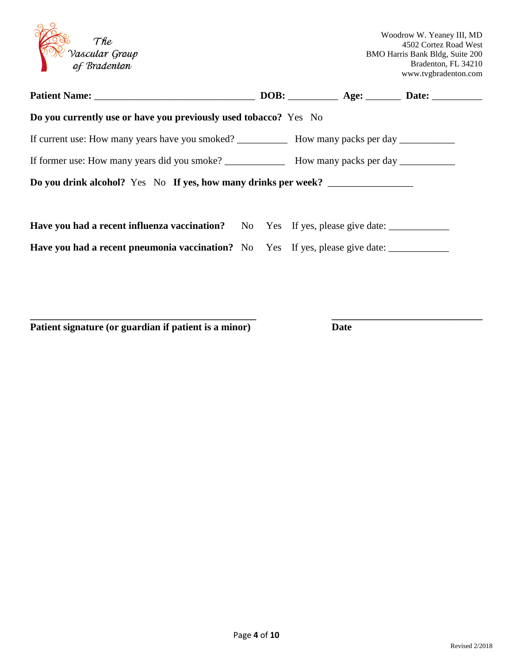| The<br>Vascular Group<br>of Bradenton                                                                |  | Woodrow W. Yeaney III, MD<br>4502 Cortez Road West<br>BMO Harris Bank Bldg, Suite 200<br>Bradenton, FL 34210<br>www.tvgbradenton.com |
|------------------------------------------------------------------------------------------------------|--|--------------------------------------------------------------------------------------------------------------------------------------|
|                                                                                                      |  |                                                                                                                                      |
| Do you currently use or have you previously used tobacco? Yes No                                     |  |                                                                                                                                      |
|                                                                                                      |  |                                                                                                                                      |
|                                                                                                      |  |                                                                                                                                      |
| Do you drink alcohol? Yes No If yes, how many drinks per week?                                       |  |                                                                                                                                      |
| Have you had a recent influenza vaccination? No Yes If yes, please give date: ______________________ |  |                                                                                                                                      |
| Have you had a recent pneumonia vaccination? No Yes If yes, please give date: ______________________ |  |                                                                                                                                      |

**\_\_\_\_\_\_\_\_\_\_\_\_\_\_\_\_\_\_\_\_\_\_\_\_\_\_\_\_\_\_\_\_\_\_\_\_\_\_\_\_\_\_\_\_\_ \_\_\_\_\_\_\_\_\_\_\_\_\_\_\_\_\_\_\_\_\_\_\_\_\_\_\_\_\_\_** 

**Patient signature (or guardian if patient is a minor) Date**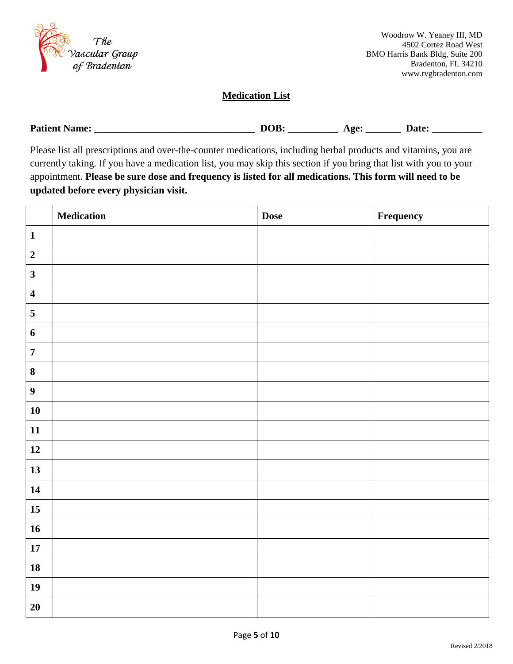

### **Medication List**

| <b>Patient</b><br>Name: | лі<br>,,,<br>_ | $\sim$<br>$-22$ | ∖nt∩ |
|-------------------------|----------------|-----------------|------|
|-------------------------|----------------|-----------------|------|

Please list all prescriptions and over-the-counter medications, including herbal products and vitamins, you are currently taking. If you have a medication list, you may skip this section if you bring that list with you to your appointment. **Please be sure dose and frequency is listed for all medications. This form will need to be updated before every physician visit.**

|                         | <b>Medication</b> | <b>Dose</b> | Frequency |
|-------------------------|-------------------|-------------|-----------|
| $\mathbf{1}$            |                   |             |           |
| $\overline{2}$          |                   |             |           |
| $\mathbf{3}$            |                   |             |           |
| $\overline{\mathbf{4}}$ |                   |             |           |
| 5                       |                   |             |           |
| $\boldsymbol{6}$        |                   |             |           |
| $\overline{7}$          |                   |             |           |
| $\bf{8}$                |                   |             |           |
| $\boldsymbol{9}$        |                   |             |           |
| 10                      |                   |             |           |
| 11                      |                   |             |           |
| 12                      |                   |             |           |
| 13                      |                   |             |           |
| 14                      |                   |             |           |
| $15\,$                  |                   |             |           |
| 16                      |                   |             |           |
| $17\,$                  |                   |             |           |
| ${\bf 18}$              |                   |             |           |
| 19                      |                   |             |           |
| 20                      |                   |             |           |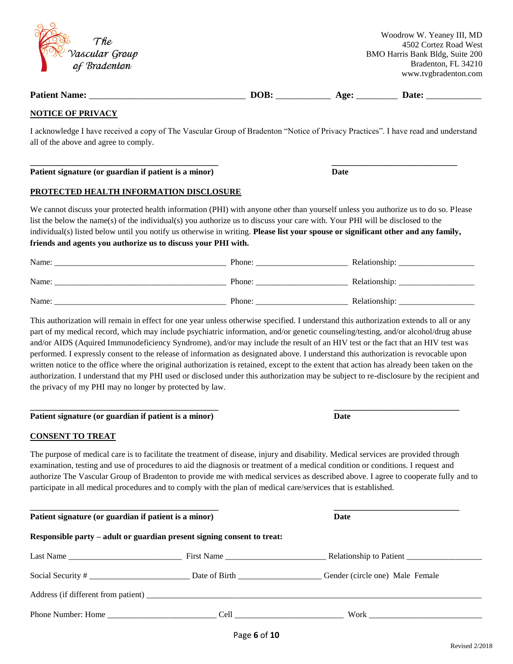|  | 6 of 10 |  |
|--|---------|--|

| )<br>G | The            |  |  |
|--------|----------------|--|--|
|        | Vascular Group |  |  |
|        | of Bradenton   |  |  |

# **Patient Name:** \_\_\_\_\_\_\_\_\_\_\_\_\_\_\_\_\_\_\_\_\_\_\_\_\_\_\_\_\_\_\_\_\_\_ **DOB:** \_\_\_\_\_\_\_\_\_\_\_\_ **Age:** \_\_\_\_\_\_\_\_\_ **Date:** \_\_\_\_\_\_\_\_\_\_\_\_

#### **NOTICE OF PRIVACY**

I acknowledge I have received a copy of The Vascular Group of Bradenton "Notice of Privacy Practices". I have read and understand all of the above and agree to comply.

**\_\_\_\_\_\_\_\_\_\_\_\_\_\_\_\_\_\_\_\_\_\_\_\_\_\_\_\_\_\_\_\_\_\_\_\_\_\_\_\_\_\_\_\_\_ \_\_\_\_\_\_\_\_\_\_\_\_\_\_\_\_\_\_\_\_\_\_\_\_\_\_\_\_\_\_** 

**Patient signature (or guardian if patient is a minor) Date** 

#### **PROTECTED HEALTH INFORMATION DISCLOSURE**

We cannot discuss your protected health information (PHI) with anyone other than yourself unless you authorize us to do so. Please list the below the name(s) of the individual(s) you authorize us to discuss your care with. Your PHI will be disclosed to the individual(s) listed below until you notify us otherwise in writing. **Please list your spouse or significant other and any family, friends and agents you authorize us to discuss your PHI with.**

| Name: | Phone: | Relationship: |
|-------|--------|---------------|
| Name: | Phone: | Relationship: |
| Name: | Phone: | Relationship: |

This authorization will remain in effect for one year unless otherwise specified. I understand this authorization extends to all or any part of my medical record, which may include psychiatric information, and/or genetic counseling/testing, and/or alcohol/drug abuse and/or AIDS (Aquired Immunodeficiency Syndrome), and/or may include the result of an HIV test or the fact that an HIV test was performed. I expressly consent to the release of information as designated above. I understand this authorization is revocable upon written notice to the office where the original authorization is retained, except to the extent that action has already been taken on the authorization. I understand that my PHI used or disclosed under this authorization may be subject to re-disclosure by the recipient and the privacy of my PHI may no longer by protected by law.

#### **\_\_\_\_\_\_\_\_\_\_\_\_\_\_\_\_\_\_\_\_\_\_\_\_\_\_\_\_\_\_\_\_\_\_\_\_\_\_\_\_\_\_\_\_\_ \_\_\_\_\_\_\_\_\_\_\_\_\_\_\_\_\_\_\_\_\_\_\_\_\_\_\_\_\_\_ Patient signature (or guardian if patient is a minor) Date**

#### **CONSENT TO TREAT**

The purpose of medical care is to facilitate the treatment of disease, injury and disability. Medical services are provided through examination, testing and use of procedures to aid the diagnosis or treatment of a medical condition or conditions. I request and authorize The Vascular Group of Bradenton to provide me with medical services as described above. I agree to cooperate fully and to participate in all medical procedures and to comply with the plan of medical care/services that is established.

| Patient signature (or guardian if patient is a minor)                   | Date                                                                                                                                                                                                                           |                                                                                                                                                                                                                                |
|-------------------------------------------------------------------------|--------------------------------------------------------------------------------------------------------------------------------------------------------------------------------------------------------------------------------|--------------------------------------------------------------------------------------------------------------------------------------------------------------------------------------------------------------------------------|
| Responsible party – adult or guardian present signing consent to treat: |                                                                                                                                                                                                                                |                                                                                                                                                                                                                                |
|                                                                         |                                                                                                                                                                                                                                |                                                                                                                                                                                                                                |
|                                                                         |                                                                                                                                                                                                                                | Gender (circle one) Male Female                                                                                                                                                                                                |
|                                                                         |                                                                                                                                                                                                                                |                                                                                                                                                                                                                                |
| Phone Number: Home                                                      | Cell and the contract of the contract of the contract of the contract of the contract of the contract of the contract of the contract of the contract of the contract of the contract of the contract of the contract of the c | Work and the second second second second second second second second second second second second second second second second second second second second second second second second second second second second second second |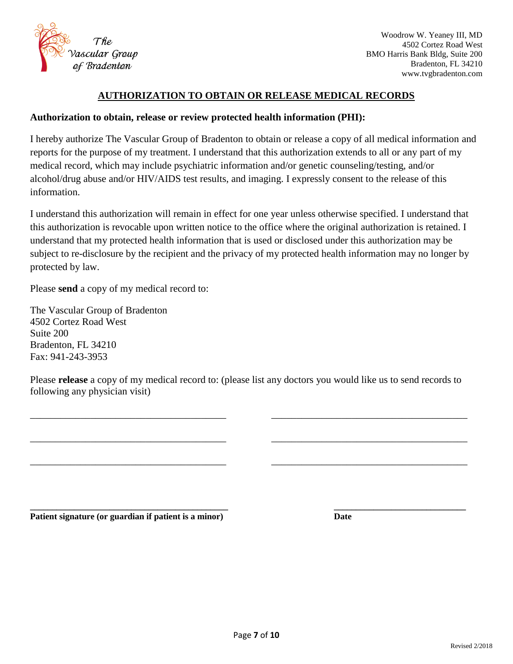

### **AUTHORIZATION TO OBTAIN OR RELEASE MEDICAL RECORDS**

### **Authorization to obtain, release or review protected health information (PHI):**

I hereby authorize The Vascular Group of Bradenton to obtain or release a copy of all medical information and reports for the purpose of my treatment. I understand that this authorization extends to all or any part of my medical record, which may include psychiatric information and/or genetic counseling/testing, and/or alcohol/drug abuse and/or HIV/AIDS test results, and imaging. I expressly consent to the release of this information.

I understand this authorization will remain in effect for one year unless otherwise specified. I understand that this authorization is revocable upon written notice to the office where the original authorization is retained. I understand that my protected health information that is used or disclosed under this authorization may be subject to re-disclosure by the recipient and the privacy of my protected health information may no longer by protected by law.

Please **send** a copy of my medical record to:

The Vascular Group of Bradenton 4502 Cortez Road West Suite 200 Bradenton, FL 34210 Fax: 941-243-3953

Please **release** a copy of my medical record to: (please list any doctors you would like us to send records to following any physician visit)

\_\_\_\_\_\_\_\_\_\_\_\_\_\_\_\_\_\_\_\_\_\_\_\_\_\_\_\_\_\_\_\_\_\_\_\_\_\_\_ \_\_\_\_\_\_\_\_\_\_\_\_\_\_\_\_\_\_\_\_\_\_\_\_\_\_\_\_\_\_\_\_\_\_\_\_\_\_\_

\_\_\_\_\_\_\_\_\_\_\_\_\_\_\_\_\_\_\_\_\_\_\_\_\_\_\_\_\_\_\_\_\_\_\_\_\_\_\_ \_\_\_\_\_\_\_\_\_\_\_\_\_\_\_\_\_\_\_\_\_\_\_\_\_\_\_\_\_\_\_\_\_\_\_\_\_\_\_

\_\_\_\_\_\_\_\_\_\_\_\_\_\_\_\_\_\_\_\_\_\_\_\_\_\_\_\_\_\_\_\_\_\_\_\_\_\_\_ \_\_\_\_\_\_\_\_\_\_\_\_\_\_\_\_\_\_\_\_\_\_\_\_\_\_\_\_\_\_\_\_\_\_\_\_\_\_\_

**\_\_\_\_\_\_\_\_\_\_\_\_\_\_\_\_\_\_\_\_\_\_\_\_\_\_\_\_\_\_\_\_\_\_\_\_\_\_\_\_\_\_\_\_\_ \_\_\_\_\_\_\_\_\_\_\_\_\_\_\_\_\_\_\_\_\_\_\_\_\_\_\_\_\_\_ Patient signature (or guardian if patient is a minor) Date**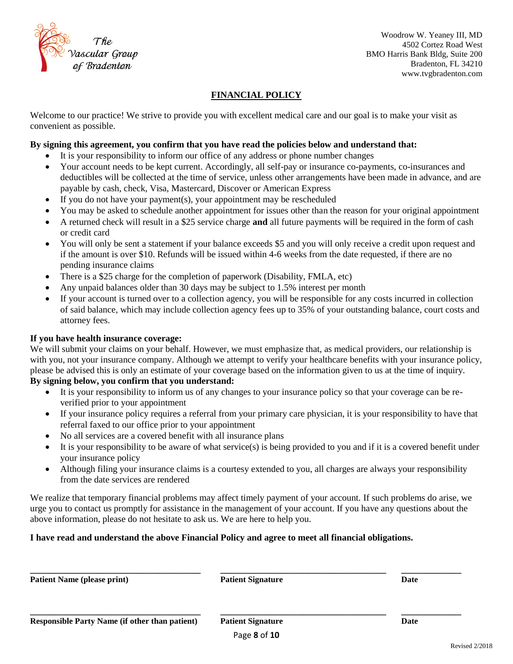

# **FINANCIAL POLICY**

Welcome to our practice! We strive to provide you with excellent medical care and our goal is to make your visit as convenient as possible.

### **By signing this agreement, you confirm that you have read the policies below and understand that:**

- It is your responsibility to inform our office of any address or phone number changes
- Your account needs to be kept current. Accordingly, all self-pay or insurance co-payments, co-insurances and deductibles will be collected at the time of service, unless other arrangements have been made in advance, and are payable by cash, check, Visa, Mastercard, Discover or American Express
- $\bullet$  If you do not have your payment(s), your appointment may be rescheduled
- You may be asked to schedule another appointment for issues other than the reason for your original appointment
- A returned check will result in a \$25 service charge **and** all future payments will be required in the form of cash or credit card
- You will only be sent a statement if your balance exceeds \$5 and you will only receive a credit upon request and if the amount is over \$10. Refunds will be issued within 4-6 weeks from the date requested, if there are no pending insurance claims
- There is a \$25 charge for the completion of paperwork (Disability, FMLA, etc)
- Any unpaid balances older than 30 days may be subject to 1.5% interest per month
- If your account is turned over to a collection agency, you will be responsible for any costs incurred in collection of said balance, which may include collection agency fees up to 35% of your outstanding balance, court costs and attorney fees.

#### **If you have health insurance coverage:**

We will submit your claims on your behalf. However, we must emphasize that, as medical providers, our relationship is with you, not your insurance company. Although we attempt to verify your healthcare benefits with your insurance policy, please be advised this is only an estimate of your coverage based on the information given to us at the time of inquiry.

### **By signing below, you confirm that you understand:**

- It is your responsibility to inform us of any changes to your insurance policy so that your coverage can be reverified prior to your appointment
- If your insurance policy requires a referral from your primary care physician, it is your responsibility to have that referral faxed to our office prior to your appointment
- No all services are a covered benefit with all insurance plans
- It is your responsibility to be aware of what service(s) is being provided to you and if it is a covered benefit under your insurance policy
- Although filing your insurance claims is a courtesy extended to you, all charges are always your responsibility from the date services are rendered

We realize that temporary financial problems may affect timely payment of your account. If such problems do arise, we urge you to contact us promptly for assistance in the management of your account. If you have any questions about the above information, please do not hesitate to ask us. We are here to help you.

### **I have read and understand the above Financial Policy and agree to meet all financial obligations.**

| <b>Patient Name (please print)</b>                    | <b>Patient Signature</b> | Date |
|-------------------------------------------------------|--------------------------|------|
| <b>Responsible Party Name (if other than patient)</b> | <b>Patient Signature</b> | Date |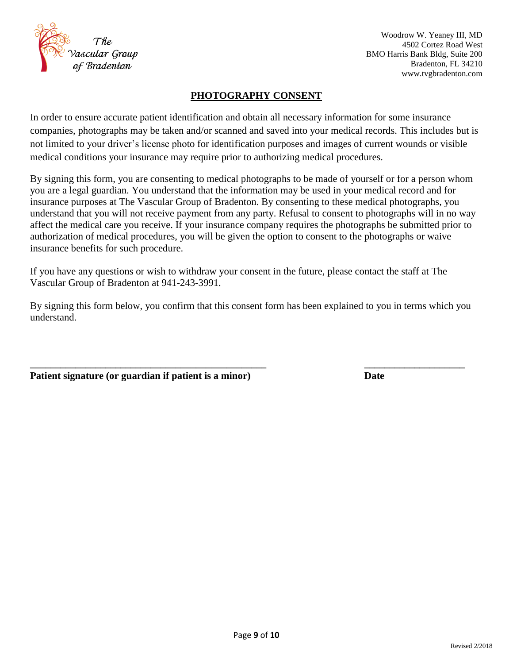

### **PHOTOGRAPHY CONSENT**

In order to ensure accurate patient identification and obtain all necessary information for some insurance companies, photographs may be taken and/or scanned and saved into your medical records. This includes but is not limited to your driver's license photo for identification purposes and images of current wounds or visible medical conditions your insurance may require prior to authorizing medical procedures.

By signing this form, you are consenting to medical photographs to be made of yourself or for a person whom you are a legal guardian. You understand that the information may be used in your medical record and for insurance purposes at The Vascular Group of Bradenton. By consenting to these medical photographs, you understand that you will not receive payment from any party. Refusal to consent to photographs will in no way affect the medical care you receive. If your insurance company requires the photographs be submitted prior to authorization of medical procedures, you will be given the option to consent to the photographs or waive insurance benefits for such procedure.

If you have any questions or wish to withdraw your consent in the future, please contact the staff at The Vascular Group of Bradenton at 941-243-3991.

By signing this form below, you confirm that this consent form has been explained to you in terms which you understand.

**\_\_\_\_\_\_\_\_\_\_\_\_\_\_\_\_\_\_\_\_\_\_\_\_\_\_\_\_\_\_\_\_\_\_\_\_\_\_\_\_\_\_\_\_\_\_\_ \_\_\_\_\_\_\_\_\_\_\_\_\_\_\_\_\_\_\_\_**

**Patient signature (or guardian if patient is a minor) Date**